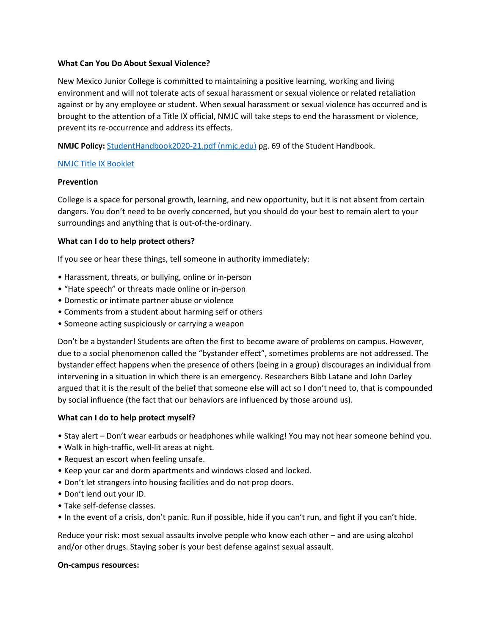#### **What Can You Do About Sexual Violence?**

New Mexico Junior College is committed to maintaining a positive learning, working and living environment and will not tolerate acts of sexual harassment or sexual violence or related retaliation against or by any employee or student. When sexual harassment or sexual violence has occurred and is brought to the attention of a Title IX official, NMJC will take steps to end the harassment or violence, prevent its re-occurrence and address its effects.

**NMJC Policy:** [StudentHandbook2020-21.pdf \(nmjc.edu\)](https://www.nmjc.edu/resource_service/student_handbook/documents/StudentHandbook2020-21.pdf) pg. 69 of the Student Handbook.

# [NMJC Title IX Booklet](https://www.nmjc.edu/current_student/campus_safety/documents/Title_IX_Information.pdf)

#### **Prevention**

College is a space for personal growth, learning, and new opportunity, but it is not absent from certain dangers. You don't need to be overly concerned, but you should do your best to remain alert to your surroundings and anything that is out-of-the-ordinary.

# **What can I do to help protect others?**

If you see or hear these things, tell someone in authority immediately:

- Harassment, threats, or bullying, online or in-person
- "Hate speech" or threats made online or in-person
- Domestic or intimate partner abuse or violence
- Comments from a student about harming self or others
- Someone acting suspiciously or carrying a weapon

Don't be a bystander! Students are often the first to become aware of problems on campus. However, due to a social phenomenon called the "bystander effect", sometimes problems are not addressed. The bystander effect happens when the presence of others (being in a group) discourages an individual from intervening in a situation in which there is an emergency. Researchers Bibb Latane and John Darley argued that it is the result of the belief that someone else will act so I don't need to, that is compounded by social influence (the fact that our behaviors are influenced by those around us).

# **What can I do to help protect myself?**

- Stay alert Don't wear earbuds or headphones while walking! You may not hear someone behind you.
- Walk in high-traffic, well-lit areas at night.
- Request an escort when feeling unsafe.
- Keep your car and dorm apartments and windows closed and locked.
- Don't let strangers into housing facilities and do not prop doors.
- Don't lend out your ID.
- Take self-defense classes.
- In the event of a crisis, don't panic. Run if possible, hide if you can't run, and fight if you can't hide.

Reduce your risk: most sexual assaults involve people who know each other – and are using alcohol and/or other drugs. Staying sober is your best defense against sexual assault.

#### **On-campus resources:**